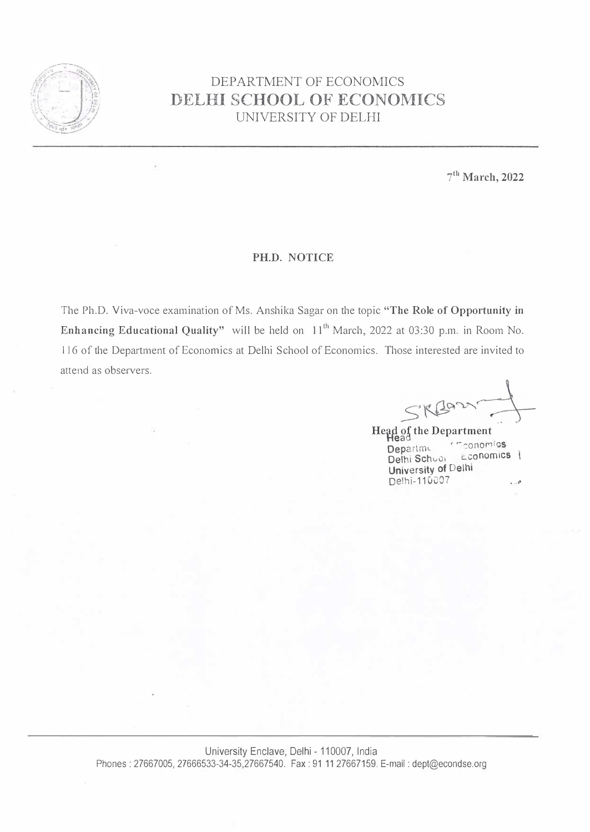

## DEPARTMENT OF ECONOMICS **DELHI SCHOOL OF ECONOMICS**  UNIVERSITY OF DELHI

**7 ° ' March, 2022** 

## **PH.D. NOTICE**

The Ph.D. Viva-voce examination of Ms. Anshika Sagar on the topic **"The Role of Opportunity in**  Enhancing Educational Quality" will be held on 11<sup>th</sup> March, 2022 at 03:30 p.m. in Room No. 116 of the Department of Economics at Delhi School of Economics. Those interested are invited to attend as observers.

**Head of the Department Heaa Department of The School Conducts** Delhi Schuoi University of Delhi De!hi-110007